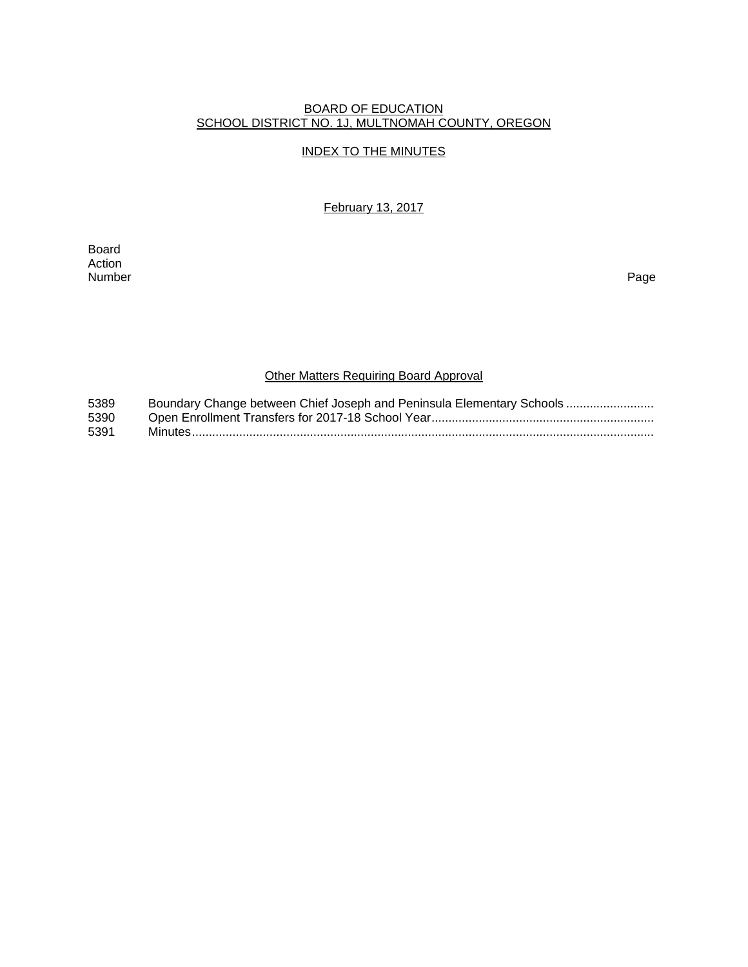#### BOARD OF EDUCATION SCHOOL DISTRICT NO. 1J, MULTNOMAH COUNTY, OREGON

#### INDEX TO THE MINUTES

February 13, 2017

Board Action<br>Number Number Page

# Other Matters Requiring Board Approval

| 5389 | Boundary Change between Chief Joseph and Peninsula Elementary Schools |
|------|-----------------------------------------------------------------------|
| 5390 |                                                                       |
| 5391 |                                                                       |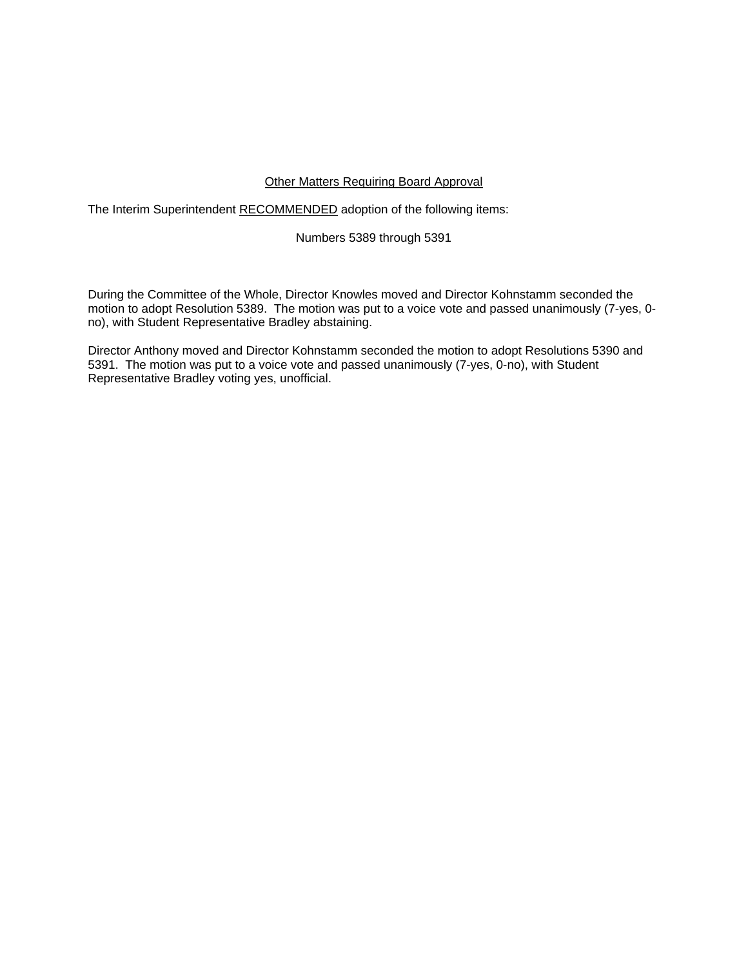#### Other Matters Requiring Board Approval

The Interim Superintendent RECOMMENDED adoption of the following items:

#### Numbers 5389 through 5391

During the Committee of the Whole, Director Knowles moved and Director Kohnstamm seconded the motion to adopt Resolution 5389. The motion was put to a voice vote and passed unanimously (7-yes, 0 no), with Student Representative Bradley abstaining.

Director Anthony moved and Director Kohnstamm seconded the motion to adopt Resolutions 5390 and 5391. The motion was put to a voice vote and passed unanimously (7-yes, 0-no), with Student Representative Bradley voting yes, unofficial.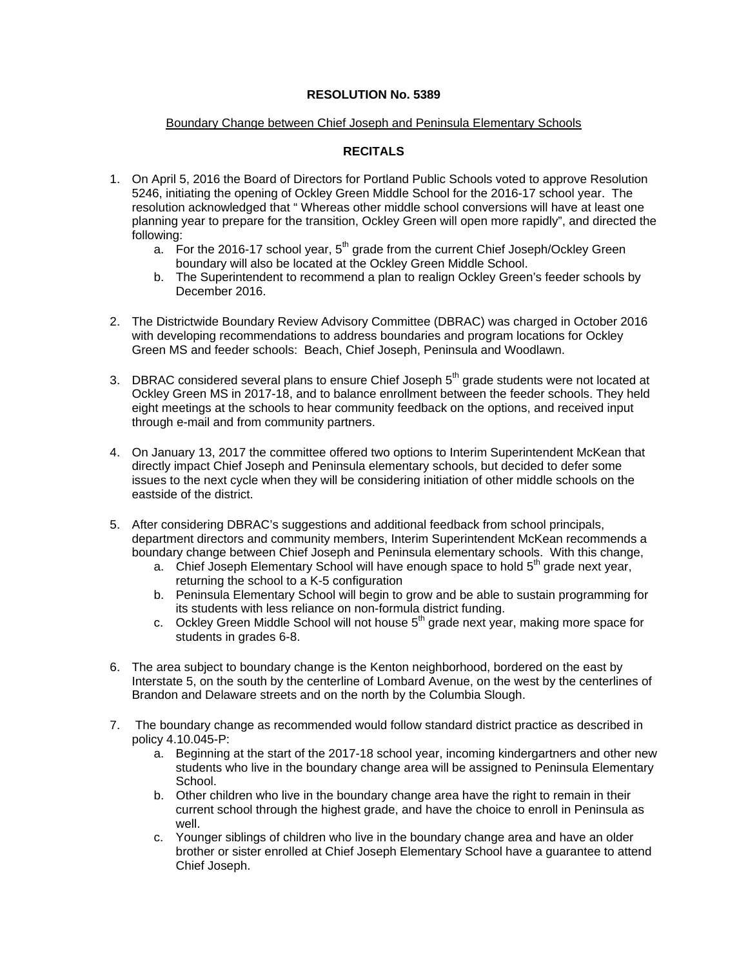#### **RESOLUTION No. 5389**

#### Boundary Change between Chief Joseph and Peninsula Elementary Schools

## **RECITALS**

- 1. On April 5, 2016 the Board of Directors for Portland Public Schools voted to approve Resolution 5246, initiating the opening of Ockley Green Middle School for the 2016-17 school year. The resolution acknowledged that " Whereas other middle school conversions will have at least one planning year to prepare for the transition, Ockley Green will open more rapidly", and directed the following:
	- a. For the 2016-17 school year,  $5<sup>th</sup>$  grade from the current Chief Joseph/Ockley Green boundary will also be located at the Ockley Green Middle School.
	- b. The Superintendent to recommend a plan to realign Ockley Green's feeder schools by December 2016.
- 2. The Districtwide Boundary Review Advisory Committee (DBRAC) was charged in October 2016 with developing recommendations to address boundaries and program locations for Ockley Green MS and feeder schools: Beach, Chief Joseph, Peninsula and Woodlawn.
- 3. DBRAC considered several plans to ensure Chief Joseph  $5<sup>th</sup>$  grade students were not located at Ockley Green MS in 2017-18, and to balance enrollment between the feeder schools. They held eight meetings at the schools to hear community feedback on the options, and received input through e-mail and from community partners.
- 4. On January 13, 2017 the committee offered two options to Interim Superintendent McKean that directly impact Chief Joseph and Peninsula elementary schools, but decided to defer some issues to the next cycle when they will be considering initiation of other middle schools on the eastside of the district.
- 5. After considering DBRAC's suggestions and additional feedback from school principals, department directors and community members, Interim Superintendent McKean recommends a boundary change between Chief Joseph and Peninsula elementary schools. With this change,
	- a. Chief Joseph Elementary School will have enough space to hold  $5<sup>th</sup>$  grade next year, returning the school to a K-5 configuration
	- b. Peninsula Elementary School will begin to grow and be able to sustain programming for its students with less reliance on non-formula district funding.
	- c. Ockley Green Middle School will not house  $5<sup>th</sup>$  grade next year, making more space for students in grades 6-8.
- 6. The area subject to boundary change is the Kenton neighborhood, bordered on the east by Interstate 5, on the south by the centerline of Lombard Avenue, on the west by the centerlines of Brandon and Delaware streets and on the north by the Columbia Slough.
- 7. The boundary change as recommended would follow standard district practice as described in policy 4.10.045-P:
	- a. Beginning at the start of the 2017-18 school year, incoming kindergartners and other new students who live in the boundary change area will be assigned to Peninsula Elementary School.
	- b. Other children who live in the boundary change area have the right to remain in their current school through the highest grade, and have the choice to enroll in Peninsula as well.
	- c. Younger siblings of children who live in the boundary change area and have an older brother or sister enrolled at Chief Joseph Elementary School have a guarantee to attend Chief Joseph.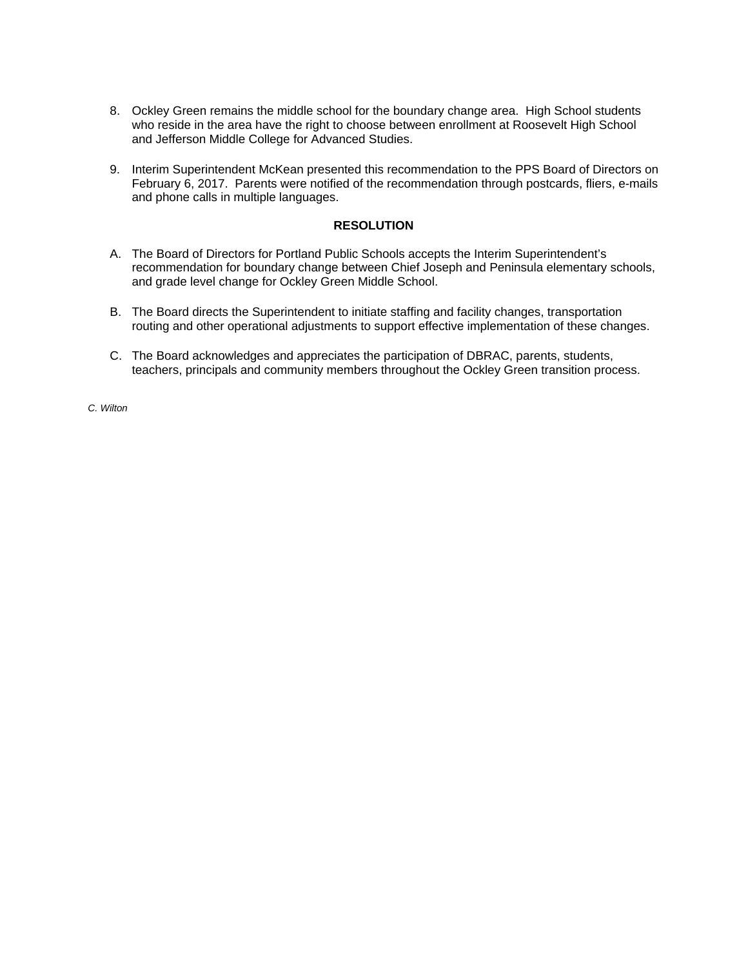- 8. Ockley Green remains the middle school for the boundary change area. High School students who reside in the area have the right to choose between enrollment at Roosevelt High School and Jefferson Middle College for Advanced Studies.
- 9. Interim Superintendent McKean presented this recommendation to the PPS Board of Directors on February 6, 2017. Parents were notified of the recommendation through postcards, fliers, e-mails and phone calls in multiple languages.

#### **RESOLUTION**

- A. The Board of Directors for Portland Public Schools accepts the Interim Superintendent's recommendation for boundary change between Chief Joseph and Peninsula elementary schools, and grade level change for Ockley Green Middle School.
- B. The Board directs the Superintendent to initiate staffing and facility changes, transportation routing and other operational adjustments to support effective implementation of these changes.
- C. The Board acknowledges and appreciates the participation of DBRAC, parents, students, teachers, principals and community members throughout the Ockley Green transition process.

*C. Wilton*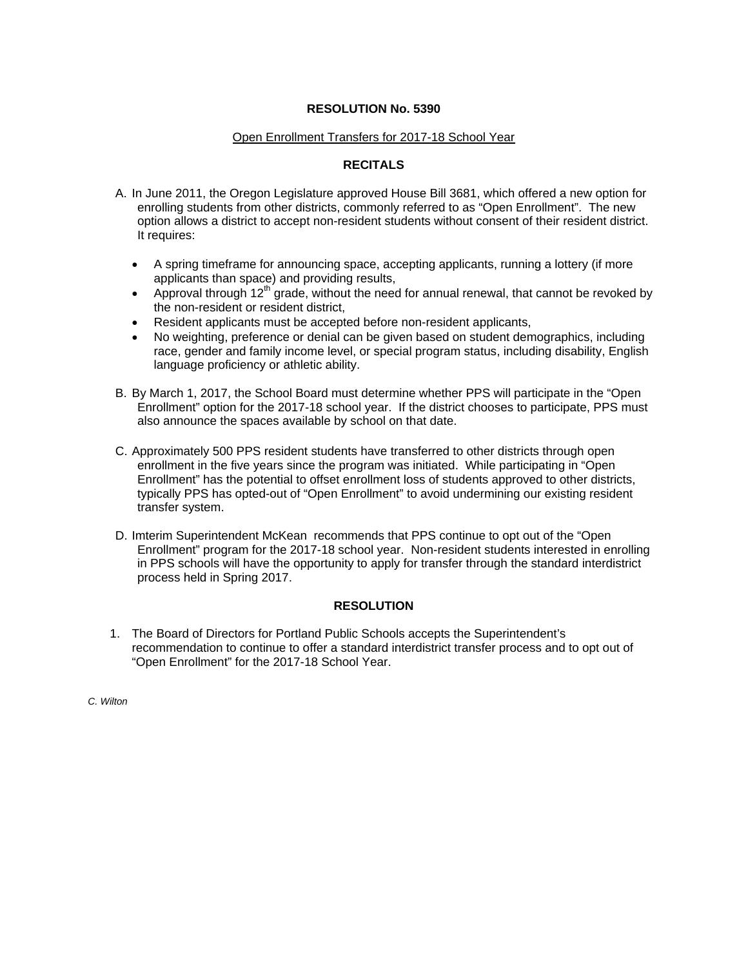#### **RESOLUTION No. 5390**

#### Open Enrollment Transfers for 2017-18 School Year

### **RECITALS**

- A. In June 2011, the Oregon Legislature approved House Bill 3681, which offered a new option for enrolling students from other districts, commonly referred to as "Open Enrollment". The new option allows a district to accept non-resident students without consent of their resident district. It requires:
	- A spring timeframe for announcing space, accepting applicants, running a lottery (if more applicants than space) and providing results,
	- Approval through  $12<sup>th</sup>$  grade, without the need for annual renewal, that cannot be revoked by the non-resident or resident district,
	- Resident applicants must be accepted before non-resident applicants,
	- No weighting, preference or denial can be given based on student demographics, including race, gender and family income level, or special program status, including disability, English language proficiency or athletic ability.
- B. By March 1, 2017, the School Board must determine whether PPS will participate in the "Open Enrollment" option for the 2017-18 school year. If the district chooses to participate, PPS must also announce the spaces available by school on that date.
- C. Approximately 500 PPS resident students have transferred to other districts through open enrollment in the five years since the program was initiated. While participating in "Open Enrollment" has the potential to offset enrollment loss of students approved to other districts, typically PPS has opted-out of "Open Enrollment" to avoid undermining our existing resident transfer system.
- D. Imterim Superintendent McKean recommends that PPS continue to opt out of the "Open Enrollment" program for the 2017-18 school year. Non-resident students interested in enrolling in PPS schools will have the opportunity to apply for transfer through the standard interdistrict process held in Spring 2017.

### **RESOLUTION**

1. The Board of Directors for Portland Public Schools accepts the Superintendent's recommendation to continue to offer a standard interdistrict transfer process and to opt out of "Open Enrollment" for the 2017-18 School Year.

*C. Wilton*